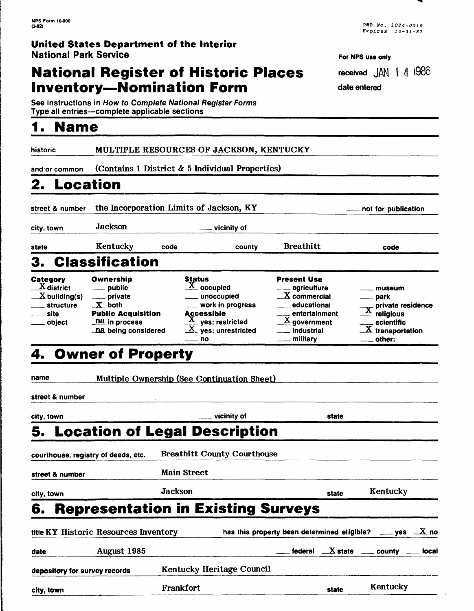### **United States Department of the Interior** National Park Service

## **National Register of Historic Places Inventory-Nomination Form**

See instructions in *How to Complete National Register Forms* Type all entries—complete applicable sections

historic MULTIPLE RESOURCES OF JACKSON, KENTUCKY

and or common (Contains *I* District & 5 Individual Properties)

# **2. Location**

**1. Name**

street & number the Incorporation Limits of Jackson, KY noting not for publication

city, town Jackson Jackson and Vicinity of

state **Kentucky** code county Breathitt code

# 3. Classification

**Category** X district *—K* building(s) \_\_\_\_ structure site object Ownership public private \_X\_both Public Acquisition na in process \_na being considered Status  $X$  occupied \_\_ unoccupied work in progress **Accessible**  $\frac{\mathbf{X}}{\mathbf{y}}$  yes: restricted  $X$  ves: unrestricted no Present Use agriculture  $X$  commercial educational entertainment  $\overline{\mathbf{X}}$  government industrial military museum \_\_ park <sub>—</sub> park<br><sub>X</sub>- private residence  $\stackrel{\bf A}{=}$  religious scientific  $\overline{\mathbf{X}}$  transportation other:

## 4. Owner of Property

name Multiple Ownership (See Continuation Sheet)

street & number

| city, town                                   |                    | ___ vicinity of                    | state                                      |                                                                        |
|----------------------------------------------|--------------------|------------------------------------|--------------------------------------------|------------------------------------------------------------------------|
| 5. Location of Legal Description             |                    |                                    |                                            |                                                                        |
| courthouse, registry of deeds, etc.          |                    | <b>Breathitt County Courthouse</b> |                                            |                                                                        |
| street & number                              | <b>Main Street</b> |                                    |                                            |                                                                        |
| city, town                                   | Jackson            |                                    | state                                      | Kentucky                                                               |
| <b>6. Representation in Existing Surveys</b> |                    |                                    |                                            |                                                                        |
| title KY Historic Resources Inventory        |                    |                                    |                                            | has this property been determined eligible? $\_\_\_\$ yes $\_\_\_X$ no |
| August 1985<br>date                          |                    |                                    | federal $X$ state $\equiv$ county $\equiv$ | local                                                                  |
| depository for survey records                |                    | <b>Kentucky Heritage Council</b>   |                                            |                                                                        |
| city, town                                   | Frankfort          |                                    | state                                      | Kentucky                                                               |

| <b>NPS Form 10-900</b> |                   |
|------------------------|-------------------|
| (3-82)                 | OMB No. 1024-0018 |
|                        | Expires 10-31-87  |

**For NPS use only**

received  $JAN$  |  $4$  1986 date entered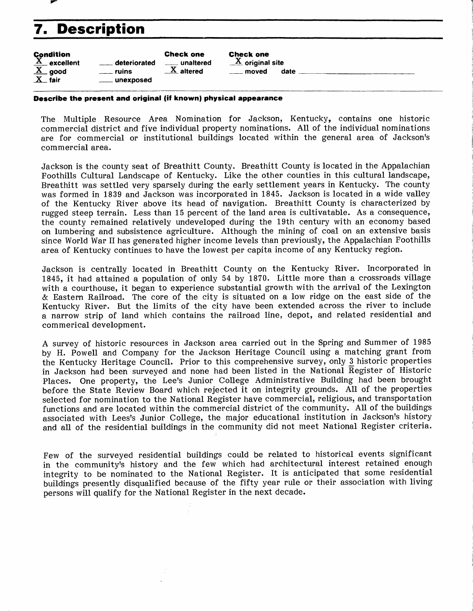

# **7. Description**

| <b>Condition</b><br>$\overline{X}$ excellent |                    | <b>Check one</b>        |
|----------------------------------------------|--------------------|-------------------------|
|                                              | deteriorated       | <u>__</u> ___ unaltered |
| $\underline{X}$ good                         | <u>__</u> __ ruins | $\underline{X}$ altered |
| $X$ fair                                     | ___ unexposed      |                         |

Check one  $\overline{\mathrm{X}}$  original site moved date

**Describe the present and original (iff known) physical appearance**

The Multiple Resource Area Nomination for Jackson, Kentucky, contains one historic commercial district and five individual property nominations. All of the individual nominations are for commercial or institutional buildings located within the general area of Jackson's commercial area.

Jackson is the county seat of Breathitt County. Breathitt County is located in the Appalachian Foothills Cultural Landscape of Kentucky. Like the other counties in this cultural landscape, Breathitt was settled very sparsely during the early settlement years in Kentucky. The county was formed in 1839 and Jackson was incorporated in 1845. Jackson is located in a wide valley of the Kentucky River above its head of navigation. Breathitt County is characterized by rugged steep terrain. Less than 15 percent of the land area is cultivatable. As a consequence, the county remained relatively undeveloped during the 19th century with an economy based on lumbering and subsistence agriculture. Although the mining of coal on an extensive basis since World War II has generated higher income levels than previously, the Appalachian Foothills area of Kentucky continues to have the lowest per capita income of any Kentucky region.

Jackson is centrally located in Breathitt County on the Kentucky River. Incorporated in 1845, it had attained a population of only 54 by 1870. Little more than a crossroads village with a courthouse, it began to experience substantial growth with the arrival of the Lexington & Eastern Railroad. The core of the city is situated on a low ridge on the east side of the Kentucky River. But the limits of the city have been extended across the river to include a narrow strip of land which contains the railroad line, depot, and related residential and commerical development.

A survey of historic resources in Jackson area carried out in the Spring and Summer of 1985 by H. Powell and Company for the Jackson Heritage Council using a matching grant from the Kentucky Heritage Council. Prior to this comprehensive survey, only 3 historic properties in Jackson had been surveyed and none had been listed in the National  $\overline{R}$ egister of Historic Places. One property, the Lee's Junior College Administrative Building had been brought before the State Review Board which rejected it on integrity grounds. All of the properties selected for nomination to the National Register have commercial, religious, and transportation functions and are located within the commercial district of the community. All of the buildings associated with Lees's Junior College, the major educational institution in Jackson's history and all of the residential buildings in the community did not meet National Register criteria.

Few of the surveyed residential buildings could be related to historical events significant in the community's history and the few which had architectural interest retained enough integrity to be nominated to the National Register. It is anticipated that some residential buildings presently disqualified because of the fifty year rule or their association with living persons will qualify for the National Register in the next decade.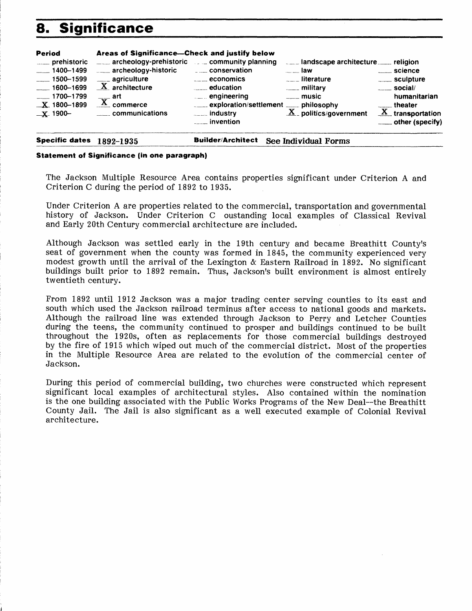# **8. Significance**

| _____ exploration/settlement _____ philosophy<br>theater<br>$\underline{X}$ transportation<br>$\underline{X}$ politics/government<br>communications<br><b>Election</b> industry<br>$\_x$ 1900-<br><sub>comm</sub> invention | <b>Period</b><br>____ prehistoric<br>$-1400 - 1499$<br>$-1500 - 1599$<br>$-1600 - 1699$<br>$\frac{1}{2}$ 1700-1799<br>$\_X$ 1800-1899 | Areas of Significance-Check and justify below<br>___ archeology-prehistoric community planning<br>archeology-historic<br>____ agriculture<br>$X$ architecture<br>$\overline{X}$ art<br>commerce | $\sqrt{a}$ economics<br>$\frac{1}{2}$ education<br>engineering | $\frac{1}{2}$ law<br><b>Example 1</b> iterature<br><b>ELECTED</b> military<br>$\frac{1}{2}$ music | <u>__</u> ___ science<br>_____ sculpture<br>$\frac{1}{2}$ social/<br>humanitarian<br>____ other (specify) |
|-----------------------------------------------------------------------------------------------------------------------------------------------------------------------------------------------------------------------------|---------------------------------------------------------------------------------------------------------------------------------------|-------------------------------------------------------------------------------------------------------------------------------------------------------------------------------------------------|----------------------------------------------------------------|---------------------------------------------------------------------------------------------------|-----------------------------------------------------------------------------------------------------------|
|-----------------------------------------------------------------------------------------------------------------------------------------------------------------------------------------------------------------------------|---------------------------------------------------------------------------------------------------------------------------------------|-------------------------------------------------------------------------------------------------------------------------------------------------------------------------------------------------|----------------------------------------------------------------|---------------------------------------------------------------------------------------------------|-----------------------------------------------------------------------------------------------------------|

**Specific dates** 1892-1935 **Builder/Architect See Individual Forms**

### **Statement of Significance (in one paragraph)**

The Jackson Multiple Resource Area contains properties significant under Criterion A and Criterion C during the period of 1892 to 1935.

Under Criterion A are properties related to the commercial, transportation and governmental history of Jackson. Under Criterion C oustanding local examples of Classical Revival and Early 20th Century commercial architecture are included.

Although Jackson was settled early in the 19th century and became Breathitt County's seat of government when the county was formed in 1845, the community experienced very modest growth until the arrival of the Lexington & Eastern Railroad in 1892. No significant buildings built prior to 1892 remain. Thus, Jackson's built environment is almost entirely twentieth century.

From 1892 until 1912 Jackson was a major trading center serving counties to its east and south which used the Jackson railroad terminus after access to national goods and markets. Although the railroad line was extended through Jackson to Perry and Letcher Counties during the teens, the community continued to prosper and buildings continued to be built throughout the 1920s, often as replacements for those commercial buildings destroyed by the fire of 1915 which wiped out much of the commercial district. Most of the properties in the Multiple Resource Area are related to the evolution of the commercial center of Jackson.

During this period of commercial building, two churches were constructed which represent significant local examples of architectural styles. Also contained within the nomination is the one building associated with the Public Works Programs of the New Deal--the Breathitt County Jail. The Jail is also significant as a well executed example of Colonial Revival architecture.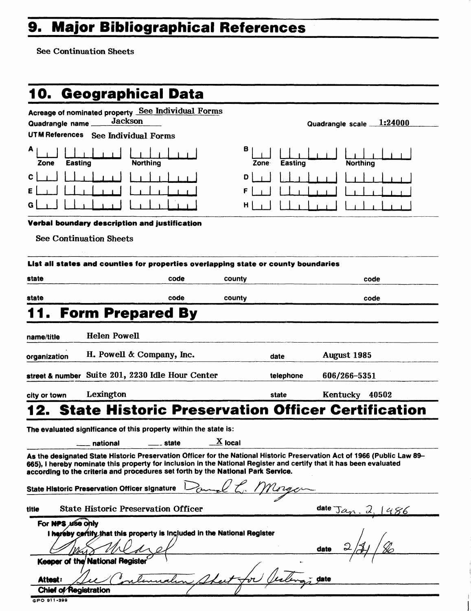# **9. Major Bibliographical References**

**See Continuation Sheets**

|                                           | 10.  Geographical Data                                                                                                                                                                                                                                                                                                              |                      |                |                                       |
|-------------------------------------------|-------------------------------------------------------------------------------------------------------------------------------------------------------------------------------------------------------------------------------------------------------------------------------------------------------------------------------------|----------------------|----------------|---------------------------------------|
| Quadrangle name_<br><b>UTM References</b> | Acreage of nominated property See Individual Forms<br><b>Jackson</b><br><b>See Individual Forms</b>                                                                                                                                                                                                                                 |                      |                | Quadrangle scale 1:24000              |
| A<br>Zone                                 | Easting<br><b>Northing</b>                                                                                                                                                                                                                                                                                                          | в<br>Zone            | <b>Easting</b> | <b>Northing</b>                       |
| C                                         |                                                                                                                                                                                                                                                                                                                                     | D<br>F<br>н          |                |                                       |
|                                           | Verbal boundary description and justification<br><b>See Continuation Sheets</b>                                                                                                                                                                                                                                                     |                      |                |                                       |
|                                           | List all states and counties for properties overlapping state or county boundaries                                                                                                                                                                                                                                                  |                      |                |                                       |
| state                                     | code                                                                                                                                                                                                                                                                                                                                | county               |                | code                                  |
| state                                     | code                                                                                                                                                                                                                                                                                                                                | county               |                | code                                  |
|                                           | <b>Form Prepared By</b>                                                                                                                                                                                                                                                                                                             |                      |                |                                       |
| name/title                                | <b>Helen Powell</b>                                                                                                                                                                                                                                                                                                                 |                      |                |                                       |
| organization                              | H. Powell & Company, Inc.                                                                                                                                                                                                                                                                                                           |                      | date           | August 1985                           |
|                                           | street & number Suite 201, 2230 Idle Hour Center                                                                                                                                                                                                                                                                                    |                      | telephone      | 606/266-5351                          |
| city or town                              | Lexington                                                                                                                                                                                                                                                                                                                           |                      | state          | Kentucky 40502                        |
|                                           | <b>State Historic Preservation Officer Certification</b><br>The evaluated significance of this property within the state is:<br>state<br>national                                                                                                                                                                                   | $\overline{X}$ local |                |                                       |
|                                           | As the designated State Historic Preservation Officer for the National Historic Preservation Act of 1966 (Public Law 89-<br>665), I hereby nominate this property for inclusion in the National Register and certify that it has been evaluated<br>according to the criteria and procedures set forth by the National Park Service. |                      |                |                                       |
|                                           | <b>State Historic Preservation Officer signature</b>                                                                                                                                                                                                                                                                                |                      |                |                                       |
| title                                     | <b>State Historic Preservation Officer</b>                                                                                                                                                                                                                                                                                          |                      |                | date $\text{Jac}_{\text{M}}$ .<br>486 |
| For NPS use only                          | I hereby cortify that this property is Included in the National Register                                                                                                                                                                                                                                                            |                      |                | date                                  |
|                                           | Keeper of the National Register                                                                                                                                                                                                                                                                                                     |                      |                |                                       |
| Attest:<br>Chief of Registration          |                                                                                                                                                                                                                                                                                                                                     |                      |                | date                                  |
| GPO 911-399                               |                                                                                                                                                                                                                                                                                                                                     |                      |                |                                       |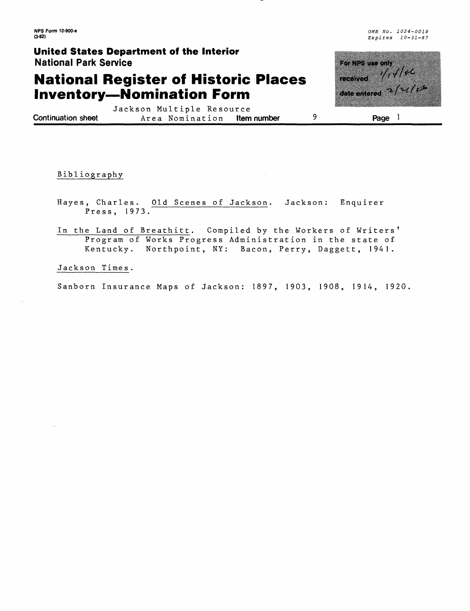**NPS Form 10-900-a (3-82)**

OMB No. 1024-0018 Expires 10-31-87

### **United States Department of the Interior** National Park Service

## **National Register of Historic Places Inventory—Nomination Form**

<u>matan k</u> T. A date entered <sup>of 7</sup><sup>777</sup>

Jackson Multiple Resource<br>Area Nomination **Item number** 9 **Continuation sheet** Area Nomination

**Page**

Bib 1iography

- Hayes, Charles. Old Scenes of Jackson. Jackson: Enquirer Press, 1973.
- In the Land of Breathitt. Compiled by the Workers of Writers' Program of Works Progress Administration in the state of Kentucky. Northpoint, NY: Bacon, Perry, Daggett, 1941.

Jackson Time s.

Sanborn Insurance Maps of Jackson: 1897, 1903, 1908, 1914, 1920